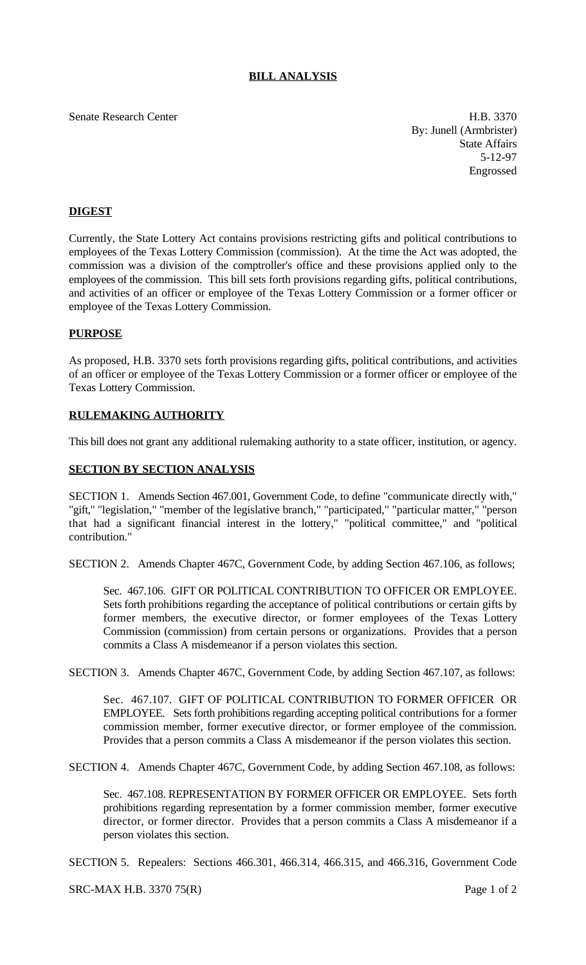# **BILL ANALYSIS**

Senate Research Center **H.B. 3370** 

By: Junell (Armbrister) State Affairs 5-12-97 Engrossed

## **DIGEST**

Currently, the State Lottery Act contains provisions restricting gifts and political contributions to employees of the Texas Lottery Commission (commission). At the time the Act was adopted, the commission was a division of the comptroller's office and these provisions applied only to the employees of the commission. This bill sets forth provisions regarding gifts, political contributions, and activities of an officer or employee of the Texas Lottery Commission or a former officer or employee of the Texas Lottery Commission.

### **PURPOSE**

As proposed, H.B. 3370 sets forth provisions regarding gifts, political contributions, and activities of an officer or employee of the Texas Lottery Commission or a former officer or employee of the Texas Lottery Commission.

### **RULEMAKING AUTHORITY**

This bill does not grant any additional rulemaking authority to a state officer, institution, or agency.

### **SECTION BY SECTION ANALYSIS**

SECTION 1. Amends Section 467.001, Government Code, to define "communicate directly with," "gift," "legislation," "member of the legislative branch," "participated," "particular matter," "person that had a significant financial interest in the lottery," "political committee," and "political contribution."

SECTION 2. Amends Chapter 467C, Government Code, by adding Section 467.106, as follows;

Sec. 467.106. GIFT OR POLITICAL CONTRIBUTION TO OFFICER OR EMPLOYEE. Sets forth prohibitions regarding the acceptance of political contributions or certain gifts by former members, the executive director, or former employees of the Texas Lottery Commission (commission) from certain persons or organizations. Provides that a person commits a Class A misdemeanor if a person violates this section.

SECTION 3. Amends Chapter 467C, Government Code, by adding Section 467.107, as follows:

Sec. 467.107. GIFT OF POLITICAL CONTRIBUTION TO FORMER OFFICER OR EMPLOYEE. Sets forth prohibitions regarding accepting political contributions for a former commission member, former executive director, or former employee of the commission. Provides that a person commits a Class A misdemeanor if the person violates this section.

SECTION 4. Amends Chapter 467C, Government Code, by adding Section 467.108, as follows:

Sec. 467.108. REPRESENTATION BY FORMER OFFICER OR EMPLOYEE. Sets forth prohibitions regarding representation by a former commission member, former executive director, or former director. Provides that a person commits a Class A misdemeanor if a person violates this section.

SECTION 5. Repealers: Sections 466.301, 466.314, 466.315, and 466.316, Government Code

SRC-MAX H.B. 3370 75(R) Page 1 of 2